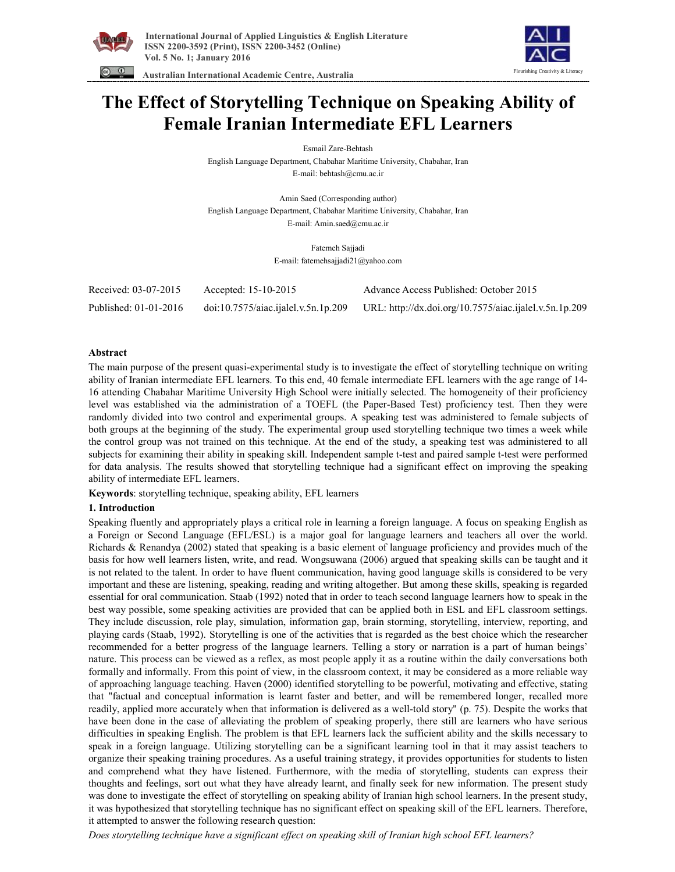



 **Australian International Academic Centre, Australia** 

# **The Effect of Storytelling Technique on Speaking Ability of Female Iranian Intermediate EFL Learners**

Esmail Zare-Behtash

English Language Department, Chabahar Maritime University, Chabahar, Iran E-mail: behtash@cmu.ac.ir

Amin Saed (Corresponding author) English Language Department, Chabahar Maritime University, Chabahar, Iran E-mail: Amin.saed@cmu.ac.ir

> Fatemeh Sajjadi E-mail: fatemehsajjadi21@yahoo.com

| Received: 03-07-2015  | Accepted: 15-10-2015                | Advance Access Published: October 2015                 |
|-----------------------|-------------------------------------|--------------------------------------------------------|
| Published: 01-01-2016 | doi:10.7575/aiac.ijalel.v.5n.1p.209 | URL: http://dx.doi.org/10.7575/aiac.ijalel.v.5n.1p.209 |

# **Abstract**

The main purpose of the present quasi-experimental study is to investigate the effect of storytelling technique on writing ability of Iranian intermediate EFL learners. To this end, 40 female intermediate EFL learners with the age range of 14- 16 attending Chabahar Maritime University High School were initially selected. The homogeneity of their proficiency level was established via the administration of a TOEFL (the Paper-Based Test) proficiency test. Then they were randomly divided into two control and experimental groups. A speaking test was administered to female subjects of both groups at the beginning of the study. The experimental group used storytelling technique two times a week while the control group was not trained on this technique. At the end of the study, a speaking test was administered to all subjects for examining their ability in speaking skill. Independent sample t-test and paired sample t-test were performed for data analysis. The results showed that storytelling technique had a significant effect on improving the speaking ability of intermediate EFL learners.

**Keywords**: storytelling technique, speaking ability, EFL learners

# **1. Introduction**

Speaking fluently and appropriately plays a critical role in learning a foreign language. A focus on speaking English as a Foreign or Second Language (EFL/ESL) is a major goal for language learners and teachers all over the world. Richards & Renandya (2002) stated that speaking is a basic element of language proficiency and provides much of the basis for how well learners listen, write, and read. Wongsuwana (2006) argued that speaking skills can be taught and it is not related to the talent. In order to have fluent communication, having good language skills is considered to be very important and these are listening, speaking, reading and writing altogether. But among these skills, speaking is regarded essential for oral communication. Staab (1992) noted that in order to teach second language learners how to speak in the best way possible, some speaking activities are provided that can be applied both in ESL and EFL classroom settings. They include discussion, role play, simulation, information gap, brain storming, storytelling, interview, reporting, and playing cards (Staab, 1992). Storytelling is one of the activities that is regarded as the best choice which the researcher recommended for a better progress of the language learners. Telling a story or narration is a part of human beings' nature. This process can be viewed as a reflex, as most people apply it as a routine within the daily conversations both formally and informally. From this point of view, in the classroom context, it may be considered as a more reliable way of approaching language teaching. Haven (2000) identified storytelling to be powerful, motivating and effective, stating that "factual and conceptual information is learnt faster and better, and will be remembered longer, recalled more readily, applied more accurately when that information is delivered as a well-told story" (p. 75). Despite the works that have been done in the case of alleviating the problem of speaking properly, there still are learners who have serious difficulties in speaking English. The problem is that EFL learners lack the sufficient ability and the skills necessary to speak in a foreign language. Utilizing storytelling can be a significant learning tool in that it may assist teachers to organize their speaking training procedures. As a useful training strategy, it provides opportunities for students to listen and comprehend what they have listened. Furthermore, with the media of storytelling, students can express their thoughts and feelings, sort out what they have already learnt, and finally seek for new information. The present study was done to investigate the effect of storytelling on speaking ability of Iranian high school learners. In the present study, it was hypothesized that storytelling technique has no significant effect on speaking skill of the EFL learners. Therefore, it attempted to answer the following research question:

*Does storytelling technique have a significant effect on speaking skill of Iranian high school EFL learners?*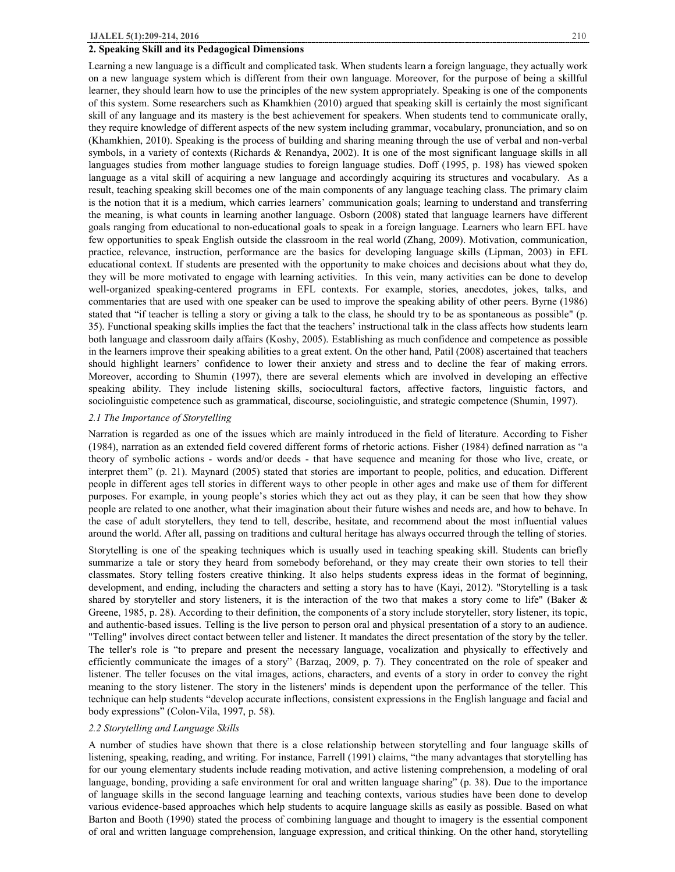## **2. Speaking Skill and its Pedagogical Dimensions**

Learning a new language is a difficult and complicated task. When students learn a foreign language, they actually work on a new language system which is different from their own language. Moreover, for the purpose of being a skillful learner, they should learn how to use the principles of the new system appropriately. Speaking is one of the components of this system. Some researchers such as Khamkhien (2010) argued that speaking skill is certainly the most significant skill of any language and its mastery is the best achievement for speakers. When students tend to communicate orally, they require knowledge of different aspects of the new system including grammar, vocabulary, pronunciation, and so on (Khamkhien, 2010). Speaking is the process of building and sharing meaning through the use of verbal and non-verbal symbols, in a variety of contexts (Richards & Renandya, 2002). It is one of the most significant language skills in all languages studies from mother language studies to foreign language studies. Doff (1995, p. 198) has viewed spoken language as a vital skill of acquiring a new language and accordingly acquiring its structures and vocabulary. As a result, teaching speaking skill becomes one of the main components of any language teaching class. The primary claim is the notion that it is a medium, which carries learners' communication goals; learning to understand and transferring the meaning, is what counts in learning another language. Osborn (2008) stated that language learners have different goals ranging from educational to non-educational goals to speak in a foreign language. Learners who learn EFL have few opportunities to speak English outside the classroom in the real world (Zhang, 2009). Motivation, communication, practice, relevance, instruction, performance are the basics for developing language skills (Lipman, 2003) in EFL educational context. If students are presented with the opportunity to make choices and decisions about what they do, they will be more motivated to engage with learning activities. In this vein, many activities can be done to develop well-organized speaking-centered programs in EFL contexts. For example, stories, anecdotes, jokes, talks, and commentaries that are used with one speaker can be used to improve the speaking ability of other peers. Byrne (1986) stated that "if teacher is telling a story or giving a talk to the class, he should try to be as spontaneous as possible" (p. 35). Functional speaking skills implies the fact that the teachers' instructional talk in the class affects how students learn both language and classroom daily affairs (Koshy, 2005). Establishing as much confidence and competence as possible in the learners improve their speaking abilities to a great extent. On the other hand, Patil (2008) ascertained that teachers should highlight learners' confidence to lower their anxiety and stress and to decline the fear of making errors. Moreover, according to Shumin (1997), there are several elements which are involved in developing an effective speaking ability. They include listening skills, sociocultural factors, affective factors, linguistic factors, and sociolinguistic competence such as grammatical, discourse, sociolinguistic, and strategic competence (Shumin, 1997).

## *2.1 The Importance of Storytelling*

Narration is regarded as one of the issues which are mainly introduced in the field of literature. According to Fisher (1984), narration as an extended field covered different forms of rhetoric actions. Fisher (1984) defined narration as "a theory of symbolic actions - words and/or deeds - that have sequence and meaning for those who live, create, or interpret them" (p. 21). Maynard (2005) stated that stories are important to people, politics, and education. Different people in different ages tell stories in different ways to other people in other ages and make use of them for different purposes. For example, in young people's stories which they act out as they play, it can be seen that how they show people are related to one another, what their imagination about their future wishes and needs are, and how to behave. In the case of adult storytellers, they tend to tell, describe, hesitate, and recommend about the most influential values around the world. After all, passing on traditions and cultural heritage has always occurred through the telling of stories.

Storytelling is one of the speaking techniques which is usually used in teaching speaking skill. Students can briefly summarize a tale or story they heard from somebody beforehand, or they may create their own stories to tell their classmates. Story telling fosters creative thinking. It also helps students express ideas in the format of beginning, development, and ending, including the characters and setting a story has to have (Kayi, 2012). "Storytelling is a task shared by storyteller and story listeners, it is the interaction of the two that makes a story come to life" (Baker & Greene, 1985, p. 28). According to their definition, the components of a story include storyteller, story listener, its topic, and authentic-based issues. Telling is the live person to person oral and physical presentation of a story to an audience. "Telling" involves direct contact between teller and listener. It mandates the direct presentation of the story by the teller. The teller's role is "to prepare and present the necessary language, vocalization and physically to effectively and efficiently communicate the images of a story" (Barzaq, 2009, p. 7). They concentrated on the role of speaker and listener. The teller focuses on the vital images, actions, characters, and events of a story in order to convey the right meaning to the story listener. The story in the listeners' minds is dependent upon the performance of the teller. This technique can help students "develop accurate inflections, consistent expressions in the English language and facial and body expressions" (Colon-Vila, 1997, p. 58).

## *2.2 Storytelling and Language Skills*

A number of studies have shown that there is a close relationship between storytelling and four language skills of listening, speaking, reading, and writing. For instance, Farrell (1991) claims, "the many advantages that storytelling has for our young elementary students include reading motivation, and active listening comprehension, a modeling of oral language, bonding, providing a safe environment for oral and written language sharing" (p. 38). Due to the importance of language skills in the second language learning and teaching contexts, various studies have been done to develop various evidence-based approaches which help students to acquire language skills as easily as possible. Based on what Barton and Booth (1990) stated the process of combining language and thought to imagery is the essential component of oral and written language comprehension, language expression, and critical thinking. On the other hand, storytelling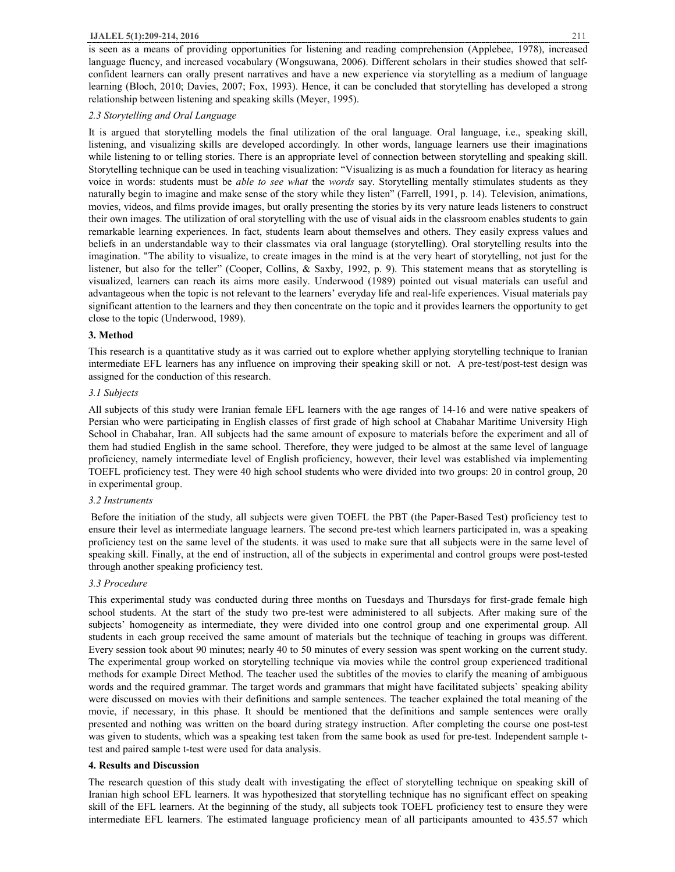## **IJALEL 5(1):209-214, 2016** 211

## *2.3 Storytelling and Oral Language*

It is argued that storytelling models the final utilization of the oral language. Oral language, i.e., speaking skill, listening, and visualizing skills are developed accordingly. In other words, language learners use their imaginations while listening to or telling stories. There is an appropriate level of connection between storytelling and speaking skill. Storytelling technique can be used in teaching visualization: "Visualizing is as much a foundation for literacy as hearing voice in words: students must be *able to see what* the *words* say. Storytelling mentally stimulates students as they naturally begin to imagine and make sense of the story while they listen" (Farrell, 1991, p. 14). Television, animations, movies, videos, and films provide images, but orally presenting the stories by its very nature leads listeners to construct their own images. The utilization of oral storytelling with the use of visual aids in the classroom enables students to gain remarkable learning experiences. In fact, students learn about themselves and others. They easily express values and beliefs in an understandable way to their classmates via oral language (storytelling). Oral storytelling results into the imagination. "The ability to visualize, to create images in the mind is at the very heart of storytelling, not just for the listener, but also for the teller" (Cooper, Collins, & Saxby, 1992, p. 9). This statement means that as storytelling is visualized, learners can reach its aims more easily. Underwood (1989) pointed out visual materials can useful and advantageous when the topic is not relevant to the learners' everyday life and real-life experiences. Visual materials pay significant attention to the learners and they then concentrate on the topic and it provides learners the opportunity to get close to the topic (Underwood, 1989).

# **3. Method**

This research is a quantitative study as it was carried out to explore whether applying storytelling technique to Iranian intermediate EFL learners has any influence on improving their speaking skill or not. A pre-test/post-test design was assigned for the conduction of this research.

# *3.1 Subjects*

All subjects of this study were Iranian female EFL learners with the age ranges of 14-16 and were native speakers of Persian who were participating in English classes of first grade of high school at Chabahar Maritime University High School in Chabahar, Iran. All subjects had the same amount of exposure to materials before the experiment and all of them had studied English in the same school. Therefore, they were judged to be almost at the same level of language proficiency, namely intermediate level of English proficiency, however, their level was established via implementing TOEFL proficiency test. They were 40 high school students who were divided into two groups: 20 in control group, 20 in experimental group.

## *3.2 Instruments*

Before the initiation of the study, all subjects were given TOEFL the PBT (the Paper-Based Test) proficiency test to ensure their level as intermediate language learners. The second pre-test which learners participated in, was a speaking proficiency test on the same level of the students. it was used to make sure that all subjects were in the same level of speaking skill. Finally, at the end of instruction, all of the subjects in experimental and control groups were post-tested through another speaking proficiency test.

# *3.3 Procedure*

This experimental study was conducted during three months on Tuesdays and Thursdays for first-grade female high school students. At the start of the study two pre-test were administered to all subjects. After making sure of the subjects' homogeneity as intermediate, they were divided into one control group and one experimental group. All students in each group received the same amount of materials but the technique of teaching in groups was different. Every session took about 90 minutes; nearly 40 to 50 minutes of every session was spent working on the current study. The experimental group worked on storytelling technique via movies while the control group experienced traditional methods for example Direct Method. The teacher used the subtitles of the movies to clarify the meaning of ambiguous words and the required grammar. The target words and grammars that might have facilitated subjects` speaking ability were discussed on movies with their definitions and sample sentences. The teacher explained the total meaning of the movie, if necessary, in this phase. It should be mentioned that the definitions and sample sentences were orally presented and nothing was written on the board during strategy instruction. After completing the course one post-test was given to students, which was a speaking test taken from the same book as used for pre-test. Independent sample ttest and paired sample t-test were used for data analysis.

## **4. Results and Discussion**

The research question of this study dealt with investigating the effect of storytelling technique on speaking skill of Iranian high school EFL learners. It was hypothesized that storytelling technique has no significant effect on speaking skill of the EFL learners. At the beginning of the study, all subjects took TOEFL proficiency test to ensure they were intermediate EFL learners. The estimated language proficiency mean of all participants amounted to 435.57 which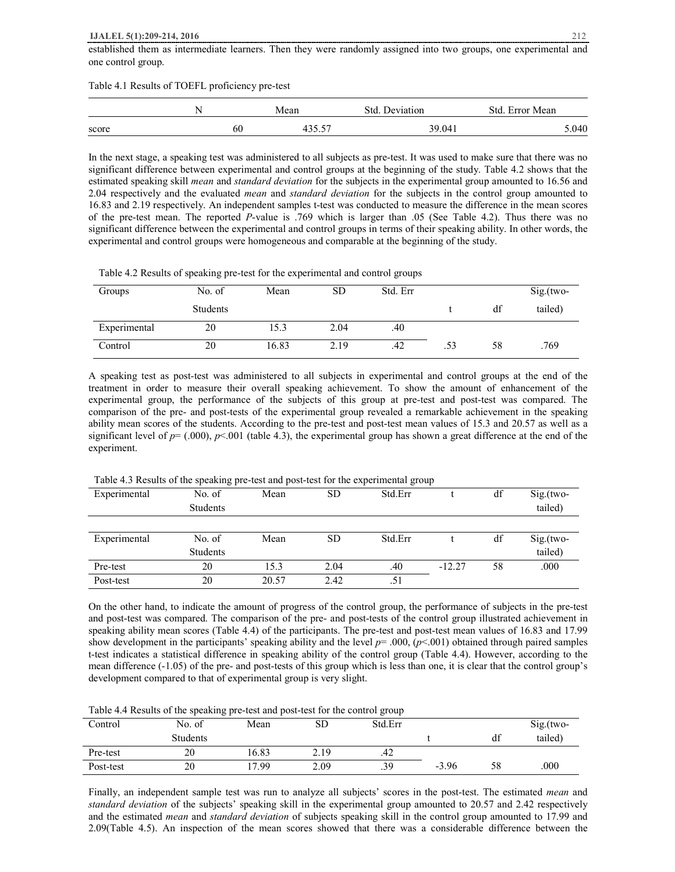### **IJALEL 5(1):209-214, 2016** 212

Table 4.1 Results of TOEFL proficiency pre-test

|       | ╲  | Mean  | Deviation<br>Std | Std<br>Error Mean |  |
|-------|----|-------|------------------|-------------------|--|
| score | 60 | 25.57 | 39.041           | 0.040             |  |

In the next stage, a speaking test was administered to all subjects as pre-test. It was used to make sure that there was no significant difference between experimental and control groups at the beginning of the study. Table 4.2 shows that the estimated speaking skill *mean* and *standard deviation* for the subjects in the experimental group amounted to 16.56 and 2.04 respectively and the evaluated *mean* and *standard deviation* for the subjects in the control group amounted to 16.83 and 2.19 respectively. An independent samples t-test was conducted to measure the difference in the mean scores of the pre-test mean. The reported *P*-value is .769 which is larger than .05 (See Table 4.2). Thus there was no significant difference between the experimental and control groups in terms of their speaking ability. In other words, the experimental and control groups were homogeneous and comparable at the beginning of the study.

Table 4.2 Results of speaking pre-test for the experimental and control groups

| Groups       | No. of   | Mean  | SD   | Std. Err |     |    | $Sig.(two-$ |
|--------------|----------|-------|------|----------|-----|----|-------------|
|              | Students |       |      |          |     | df | tailed)     |
| Experimental | 20       | 15.3  | 2.04 | .40      |     |    |             |
| Control      | 20       | 16.83 | 2.19 | .42      | .53 | 58 | .769        |

A speaking test as post-test was administered to all subjects in experimental and control groups at the end of the treatment in order to measure their overall speaking achievement. To show the amount of enhancement of the experimental group, the performance of the subjects of this group at pre-test and post-test was compared. The comparison of the pre- and post-tests of the experimental group revealed a remarkable achievement in the speaking ability mean scores of the students. According to the pre-test and post-test mean values of 15.3 and 20.57 as well as a significant level of  $p = (.000)$ ,  $p < .001$  (table 4.3), the experimental group has shown a great difference at the end of the experiment.

| Experimental | No. of   | Mean  | <b>SD</b> | Std.Err |          | df | $Sig.(two-$ |  |
|--------------|----------|-------|-----------|---------|----------|----|-------------|--|
|              | Students |       |           |         |          |    | tailed)     |  |
|              |          |       |           |         |          |    |             |  |
| Experimental | No. of   | Mean  | <b>SD</b> | Std.Err |          | df | $Sig.(two-$ |  |
|              | Students |       |           |         |          |    | tailed)     |  |
| Pre-test     | 20       | 15.3  | 2.04      | .40     | $-12.27$ | 58 | .000        |  |
| Post-test    | 20       | 20.57 | 2.42      | .51     |          |    |             |  |

Table 4.3 Results of the speaking pre-test and post-test for the experimental group

On the other hand, to indicate the amount of progress of the control group, the performance of subjects in the pre-test and post-test was compared. The comparison of the pre- and post-tests of the control group illustrated achievement in speaking ability mean scores (Table 4.4) of the participants. The pre-test and post-test mean values of 16.83 and 17.99 show development in the participants' speaking ability and the level *p*= .000, (*p*<.001) obtained through paired samples t-test indicates a statistical difference in speaking ability of the control group (Table 4.4). However, according to the mean difference (-1.05) of the pre- and post-tests of this group which is less than one, it is clear that the control group's development compared to that of experimental group is very slight.

Table 4.4 Results of the speaking pre-test and post-test for the control group

|           | 01              |       |      | o       |         |    |             |
|-----------|-----------------|-------|------|---------|---------|----|-------------|
| Control   | No. of          | Mean  | SD   | Std.Err |         |    | $Sig.(two-$ |
|           | <b>Students</b> |       |      |         |         | df | tailed)     |
| Pre-test  | 20              | 16.83 | 2.19 | .42     |         |    |             |
| Post-test | 20              | 17.99 | 2.09 | .39     | $-3.96$ | 58 | .000        |

Finally, an independent sample test was run to analyze all subjects' scores in the post-test. The estimated *mean* and *standard deviation* of the subjects' speaking skill in the experimental group amounted to 20.57 and 2.42 respectively and the estimated *mean* and *standard deviation* of subjects speaking skill in the control group amounted to 17.99 and 2.09(Table 4.5). An inspection of the mean scores showed that there was a considerable difference between the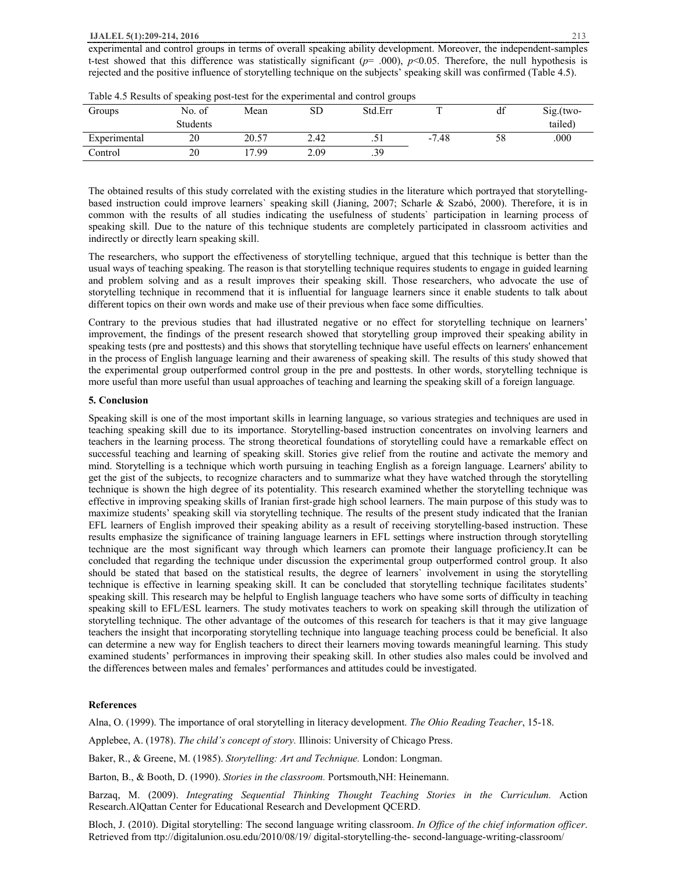#### **IJALEL 5(1):209-214, 2016** 213

experimental and control groups in terms of overall speaking ability development. Moreover, the independent-samples t-test showed that this difference was statistically significant  $(p= .000)$ ,  $p<0.05$ . Therefore, the null hypothesis is rejected and the positive influence of storytelling technique on the subjects' speaking skill was confirmed (Table 4.5).

|              | --------- |       |      |         |              |                       |             |
|--------------|-----------|-------|------|---------|--------------|-----------------------|-------------|
| Groups       | No. of    | Mean  | SD   | Std.Err | $\mathbf{r}$ | 10 <sup>o</sup><br>đÌ | $Sig.(two-$ |
|              | Students  |       |      |         |              |                       | tailed)     |
| Experimental | 20        | 20.57 | 2.42 | ۰ ت     | $-7.48$      | 58                    | .000        |
| Control      | 20        | .99   | 2.09 | .39     |              |                       |             |

Table 4.5 Results of speaking post-test for the experimental and control groups

The obtained results of this study correlated with the existing studies in the literature which portrayed that storytellingbased instruction could improve learners` speaking skill (Jianing, 2007; Scharle & Szabó, 2000). Therefore, it is in common with the results of all studies indicating the usefulness of students` participation in learning process of speaking skill. Due to the nature of this technique students are completely participated in classroom activities and indirectly or directly learn speaking skill.

The researchers, who support the effectiveness of storytelling technique, argued that this technique is better than the usual ways of teaching speaking. The reason is that storytelling technique requires students to engage in guided learning and problem solving and as a result improves their speaking skill. Those researchers, who advocate the use of storytelling technique in recommend that it is influential for language learners since it enable students to talk about different topics on their own words and make use of their previous when face some difficulties.

Contrary to the previous studies that had illustrated negative or no effect for storytelling technique on learners' improvement, the findings of the present research showed that storytelling group improved their speaking ability in speaking tests (pre and posttests) and this shows that storytelling technique have useful effects on learners' enhancement in the process of English language learning and their awareness of speaking skill. The results of this study showed that the experimental group outperformed control group in the pre and posttests. In other words, storytelling technique is more useful than more useful than usual approaches of teaching and learning the speaking skill of a foreign language*.*

## **5. Conclusion**

Speaking skill is one of the most important skills in learning language, so various strategies and techniques are used in teaching speaking skill due to its importance. Storytelling-based instruction concentrates on involving learners and teachers in the learning process. The strong theoretical foundations of storytelling could have a remarkable effect on successful teaching and learning of speaking skill. Stories give relief from the routine and activate the memory and mind. Storytelling is a technique which worth pursuing in teaching English as a foreign language. Learners' ability to get the gist of the subjects, to recognize characters and to summarize what they have watched through the storytelling technique is shown the high degree of its potentiality. This research examined whether the storytelling technique was effective in improving speaking skills of Iranian first-grade high school learners. The main purpose of this study was to maximize students' speaking skill via storytelling technique. The results of the present study indicated that the Iranian EFL learners of English improved their speaking ability as a result of receiving storytelling-based instruction. These results emphasize the significance of training language learners in EFL settings where instruction through storytelling technique are the most significant way through which learners can promote their language proficiency.It can be concluded that regarding the technique under discussion the experimental group outperformed control group. It also should be stated that based on the statistical results, the degree of learners` involvement in using the storytelling technique is effective in learning speaking skill. It can be concluded that storytelling technique facilitates students' speaking skill. This research may be helpful to English language teachers who have some sorts of difficulty in teaching speaking skill to EFL/ESL learners. The study motivates teachers to work on speaking skill through the utilization of storytelling technique. The other advantage of the outcomes of this research for teachers is that it may give language teachers the insight that incorporating storytelling technique into language teaching process could be beneficial. It also can determine a new way for English teachers to direct their learners moving towards meaningful learning. This study examined students' performances in improving their speaking skill. In other studies also males could be involved and the differences between males and females' performances and attitudes could be investigated.

## **References**

Alna, O. (1999). The importance of oral storytelling in literacy development. *The Ohio Reading Teacher*, 15-18.

Applebee, A. (1978). *The child's concept of story.* Illinois: University of Chicago Press.

Baker, R., & Greene, M. (1985). *Storytelling: Art and Technique.* London: Longman.

Barton, B., & Booth, D. (1990). *Stories in the classroom.* Portsmouth,NH: Heinemann.

Barzaq, M. (2009). *Integrating Sequential Thinking Thought Teaching Stories in the Curriculum.* Action Research.AlQattan Center for Educational Research and Development QCERD.

Bloch, J. (2010). Digital storytelling: The second language writing classroom. *In Office of the chief information officer*. Retrieved from ttp://digitalunion.osu.edu/2010/08/19/ digital-storytelling-the- second-language-writing-classroom/